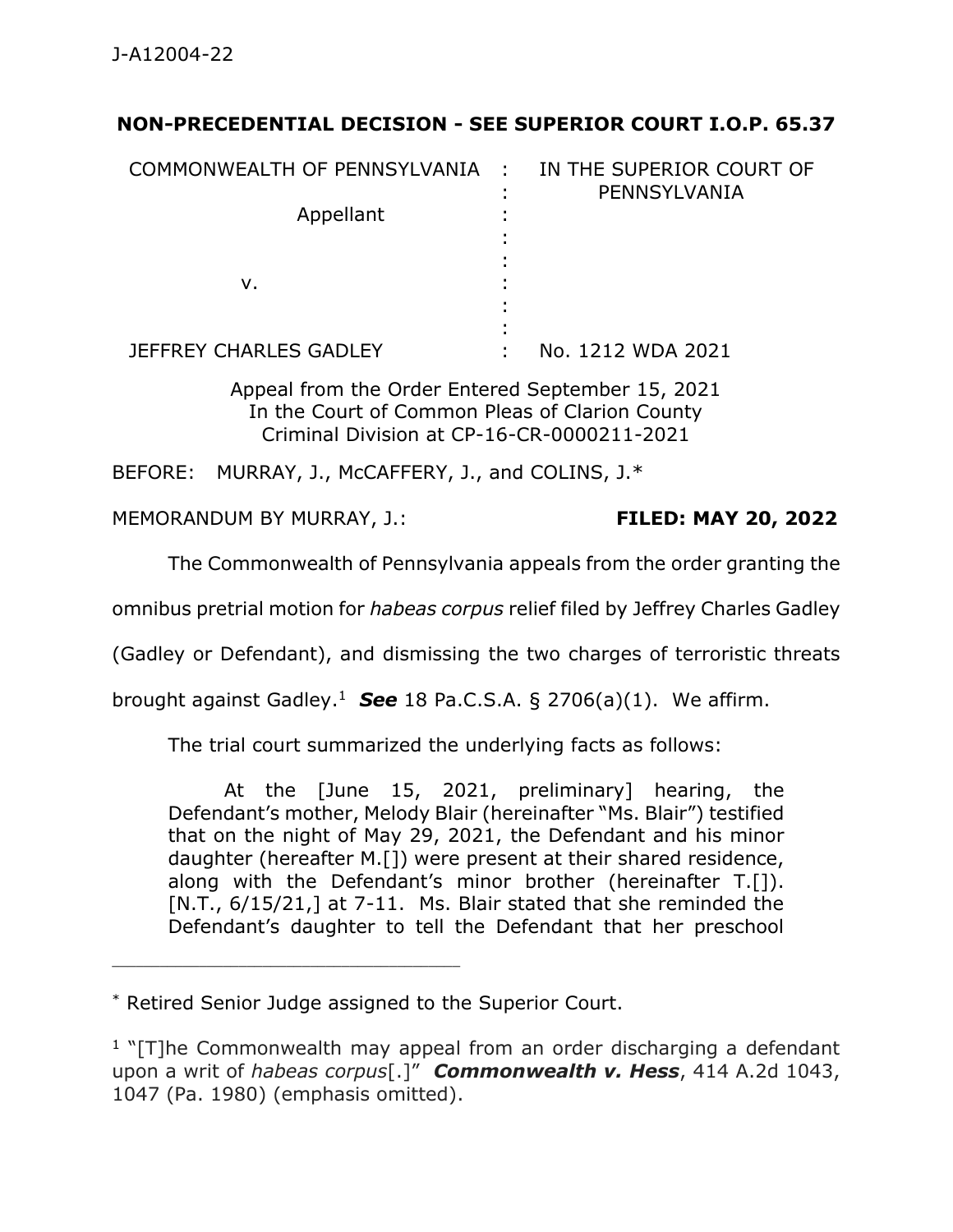## **NON-PRECEDENTIAL DECISION - SEE SUPERIOR COURT I.O.P. 65.37**

| COMMONWEALTH OF PENNSYLVANIA : | IN THE SUPERIOR COURT OF<br>PENNSYLVANIA |
|--------------------------------|------------------------------------------|
| Appellant                      |                                          |
| v.                             |                                          |
| <b>JEFFREY CHARLES GADLEY</b>  | No. 1212 WDA 2021                        |

Appeal from the Order Entered September 15, 2021 In the Court of Common Pleas of Clarion County Criminal Division at CP-16-CR-0000211-2021

BEFORE: MURRAY, J., McCAFFERY, J., and COLINS, J.\*

MEMORANDUM BY MURRAY, J.: **FILED: MAY 20, 2022**

The Commonwealth of Pennsylvania appeals from the order granting the

omnibus pretrial motion for *habeas corpus* relief filed by Jeffrey Charles Gadley

(Gadley or Defendant), and dismissing the two charges of terroristic threats

brought against Gadley. <sup>1</sup> *See* 18 Pa.C.S.A. § 2706(a)(1). We affirm.

The trial court summarized the underlying facts as follows:

At the [June 15, 2021, preliminary] hearing, the Defendant's mother, Melody Blair (hereinafter "Ms. Blair") testified that on the night of May 29, 2021, the Defendant and his minor daughter (hereafter M.[]) were present at their shared residence, along with the Defendant's minor brother (hereinafter T.[]). [N.T., 6/15/21,] at 7-11. Ms. Blair stated that she reminded the Defendant's daughter to tell the Defendant that her preschool

<sup>\*</sup> Retired Senior Judge assigned to the Superior Court.

<sup>&</sup>lt;sup>1</sup> "[T]he Commonwealth may appeal from an order discharging a defendant upon a writ of *habeas corpus*[.]" *Commonwealth v. Hess*, 414 A.2d 1043, 1047 (Pa. 1980) (emphasis omitted).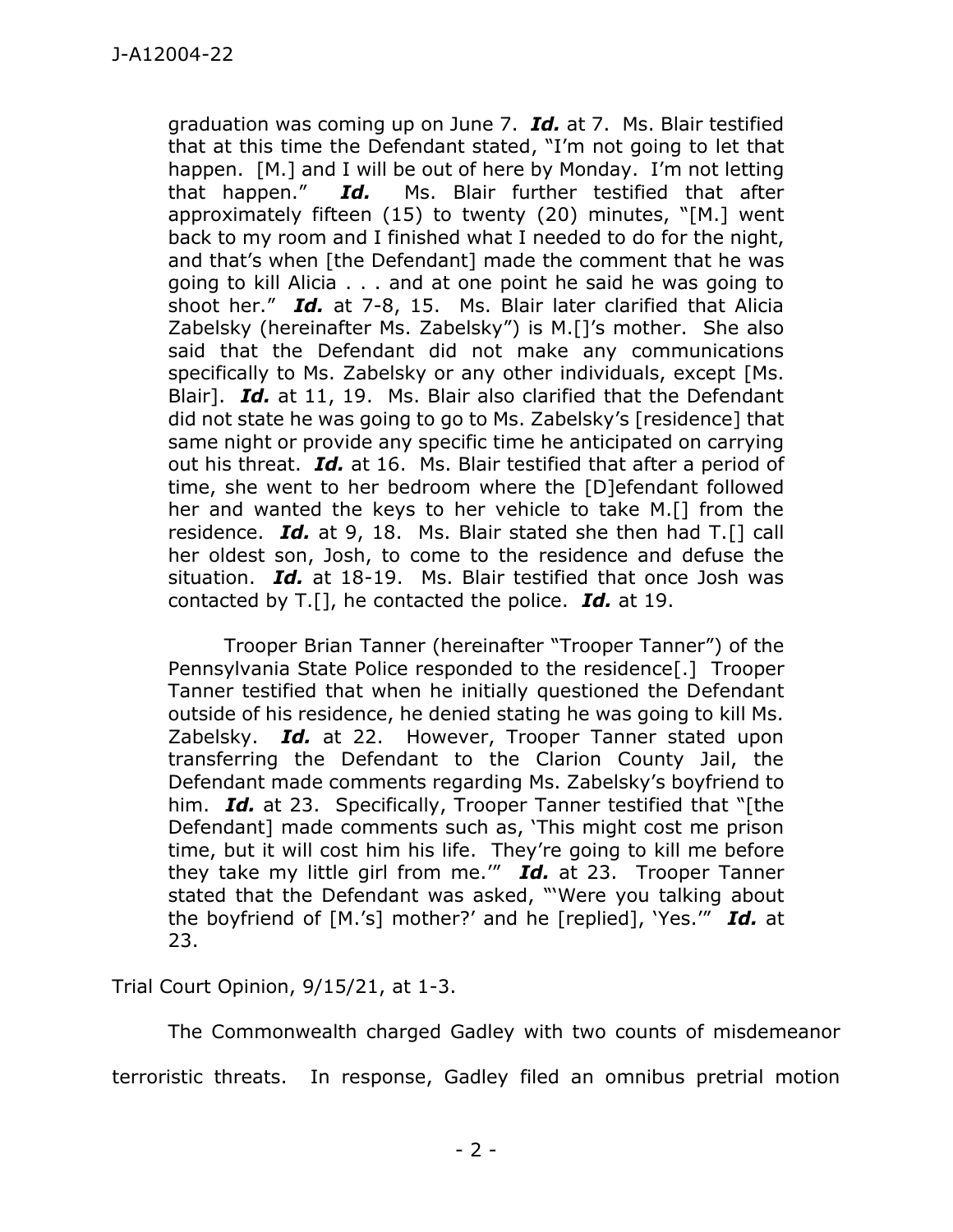graduation was coming up on June 7. *Id.* at 7. Ms. Blair testified that at this time the Defendant stated, "I'm not going to let that happen. [M.] and I will be out of here by Monday. I'm not letting that happen." *Id.* Ms. Blair further testified that after approximately fifteen (15) to twenty (20) minutes, "[M.] went back to my room and I finished what I needed to do for the night, and that's when [the Defendant] made the comment that he was going to kill Alicia . . . and at one point he said he was going to shoot her." *Id.* at 7-8, 15. Ms. Blair later clarified that Alicia Zabelsky (hereinafter Ms. Zabelsky") is M.[]'s mother. She also said that the Defendant did not make any communications specifically to Ms. Zabelsky or any other individuals, except [Ms. Blair]. *Id.* at 11, 19. Ms. Blair also clarified that the Defendant did not state he was going to go to Ms. Zabelsky's [residence] that same night or provide any specific time he anticipated on carrying out his threat. *Id.* at 16. Ms. Blair testified that after a period of time, she went to her bedroom where the [D]efendant followed her and wanted the keys to her vehicle to take M.[] from the residence. *Id.* at 9, 18. Ms. Blair stated she then had T.[] call her oldest son, Josh, to come to the residence and defuse the situation. *Id.* at 18-19. Ms. Blair testified that once Josh was contacted by T.[], he contacted the police. *Id.* at 19.

Trooper Brian Tanner (hereinafter "Trooper Tanner") of the Pennsylvania State Police responded to the residence[.] Trooper Tanner testified that when he initially questioned the Defendant outside of his residence, he denied stating he was going to kill Ms. Zabelsky. *Id.* at 22. However, Trooper Tanner stated upon transferring the Defendant to the Clarion County Jail, the Defendant made comments regarding Ms. Zabelsky's boyfriend to him. *Id.* at 23. Specifically, Trooper Tanner testified that "[the Defendant] made comments such as, 'This might cost me prison time, but it will cost him his life. They're going to kill me before they take my little girl from me.'" *Id.* at 23. Trooper Tanner stated that the Defendant was asked, "'Were you talking about the boyfriend of [M.'s] mother?' and he [replied], 'Yes.'" *Id.* at 23.

Trial Court Opinion, 9/15/21, at 1-3.

The Commonwealth charged Gadley with two counts of misdemeanor

terroristic threats. In response, Gadley filed an omnibus pretrial motion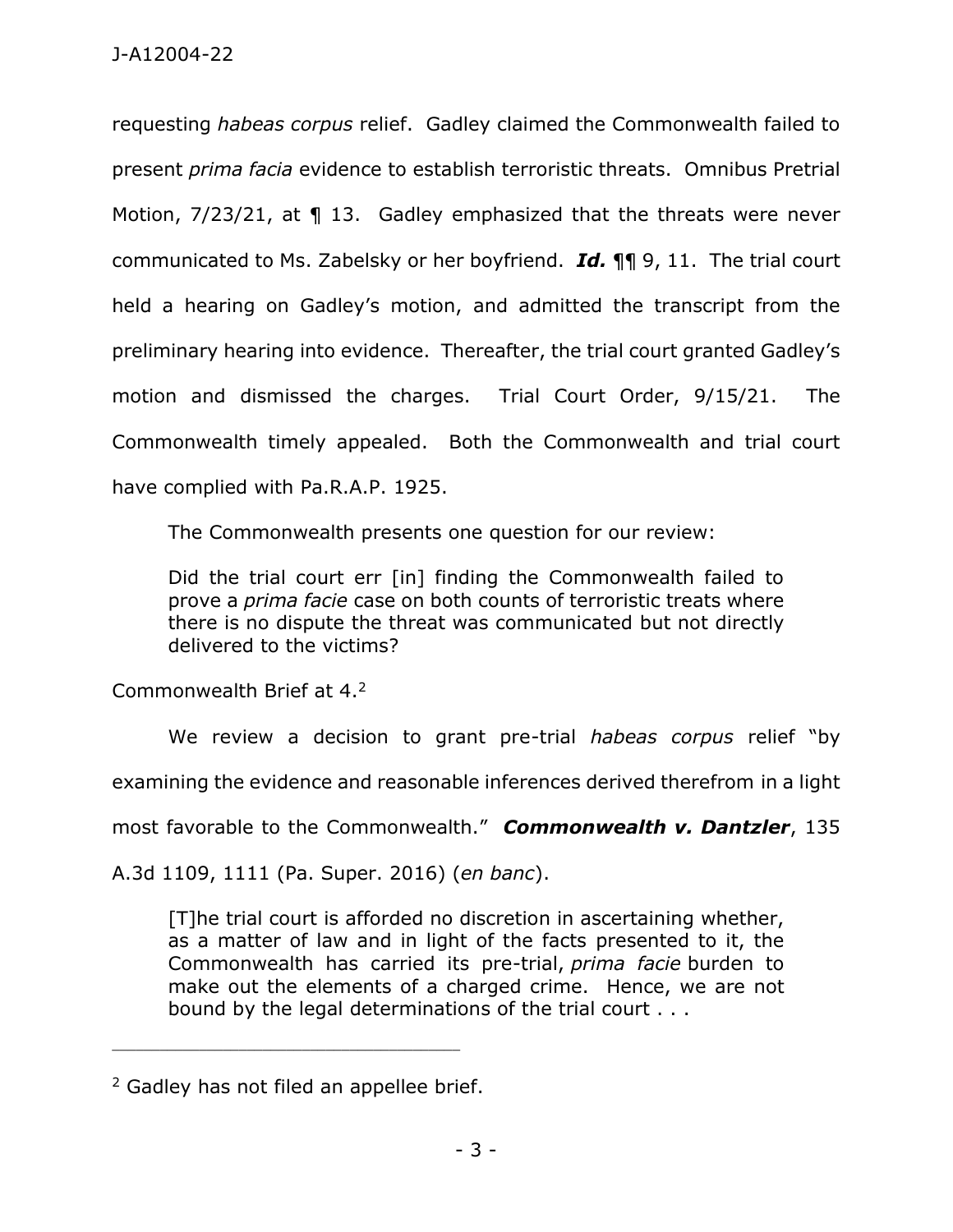requesting *habeas corpus* relief. Gadley claimed the Commonwealth failed to present *prima facia* evidence to establish terroristic threats. Omnibus Pretrial Motion, 7/23/21, at 1 13. Gadley emphasized that the threats were never communicated to Ms. Zabelsky or her boyfriend. *Id.* ¶¶ 9, 11. The trial court held a hearing on Gadley's motion, and admitted the transcript from the preliminary hearing into evidence. Thereafter, the trial court granted Gadley's motion and dismissed the charges. Trial Court Order, 9/15/21. The Commonwealth timely appealed. Both the Commonwealth and trial court have complied with Pa.R.A.P. 1925.

The Commonwealth presents one question for our review:

Did the trial court err [in] finding the Commonwealth failed to prove a *prima facie* case on both counts of terroristic treats where there is no dispute the threat was communicated but not directly delivered to the victims?

Commonwealth Brief at 4.<sup>2</sup>

We review a decision to grant pre-trial *habeas corpus* relief "by

examining the evidence and reasonable inferences derived therefrom in a light

most favorable to the Commonwealth." *Commonwealth v. Dantzler*, 135

A.3d 1109, 1111 (Pa. Super. 2016) (*en banc*).

[T]he trial court is afforded no discretion in ascertaining whether, as a matter of law and in light of the facts presented to it, the Commonwealth has carried its pre-trial, *prima facie* burden to make out the elements of a charged crime. Hence, we are not bound by the legal determinations of the trial court . . .

\_\_\_\_\_\_\_\_\_\_\_\_\_\_\_\_\_\_\_\_\_\_\_\_\_\_\_\_\_\_\_\_\_\_\_\_\_\_\_\_\_\_\_\_

<sup>2</sup> Gadley has not filed an appellee brief.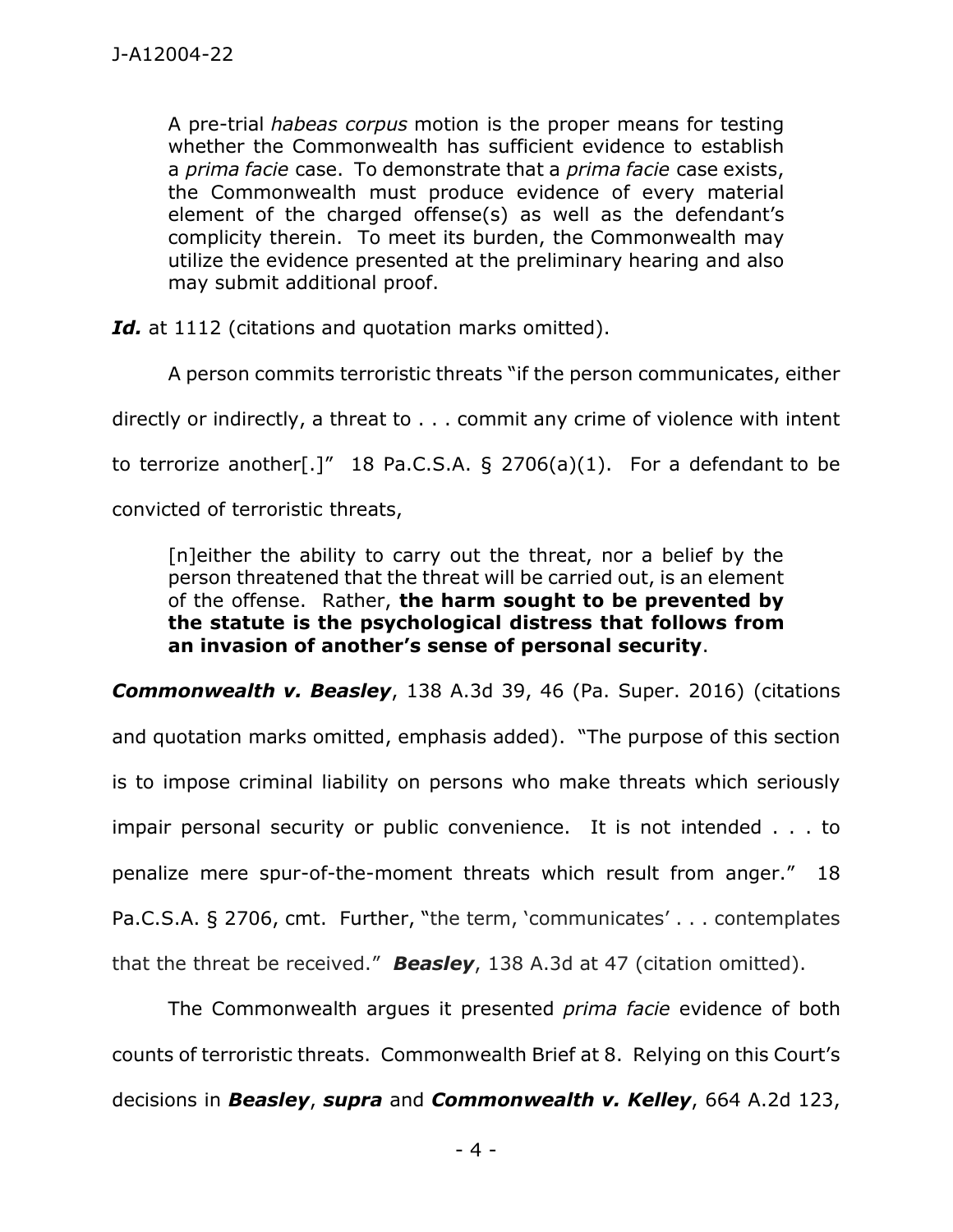A pre-trial *habeas corpus* motion is the proper means for testing whether the Commonwealth has sufficient evidence to establish a *prima facie* case. To demonstrate that a *prima facie* case exists, the Commonwealth must produce evidence of every material element of the charged offense(s) as well as the defendant's complicity therein. To meet its burden, the Commonwealth may utilize the evidence presented at the preliminary hearing and also may submit additional proof.

*Id.* at 1112 (citations and quotation marks omitted).

A person commits terroristic threats "if the person communicates, either directly or indirectly, a threat to . . . commit any crime of violence with intent to terrorize another[.]" 18 Pa.C.S.A.  $\S$  2706(a)(1). For a defendant to be convicted of terroristic threats,

[n]either the ability to carry out the threat, nor a belief by the person threatened that the threat will be carried out, is an element of the offense. Rather, **the harm sought to be prevented by the statute is the psychological distress that follows from an invasion of another's sense of personal security**.

*Commonwealth v. Beasley*, 138 A.3d 39, 46 (Pa. Super. 2016) (citations and quotation marks omitted, emphasis added). "The purpose of this section is to impose criminal liability on persons who make threats which seriously impair personal security or public convenience. It is not intended . . . to penalize mere spur-of-the-moment threats which result from anger." 18 Pa.C.S.A. § 2706, cmt. Further, "the term, 'communicates' . . . contemplates that the threat be received." *Beasley*, 138 A.3d at 47 (citation omitted).

The Commonwealth argues it presented *prima facie* evidence of both counts of terroristic threats. Commonwealth Brief at 8. Relying on this Court's decisions in *Beasley*, *supra* and *Commonwealth v. Kelley*, 664 A.2d 123,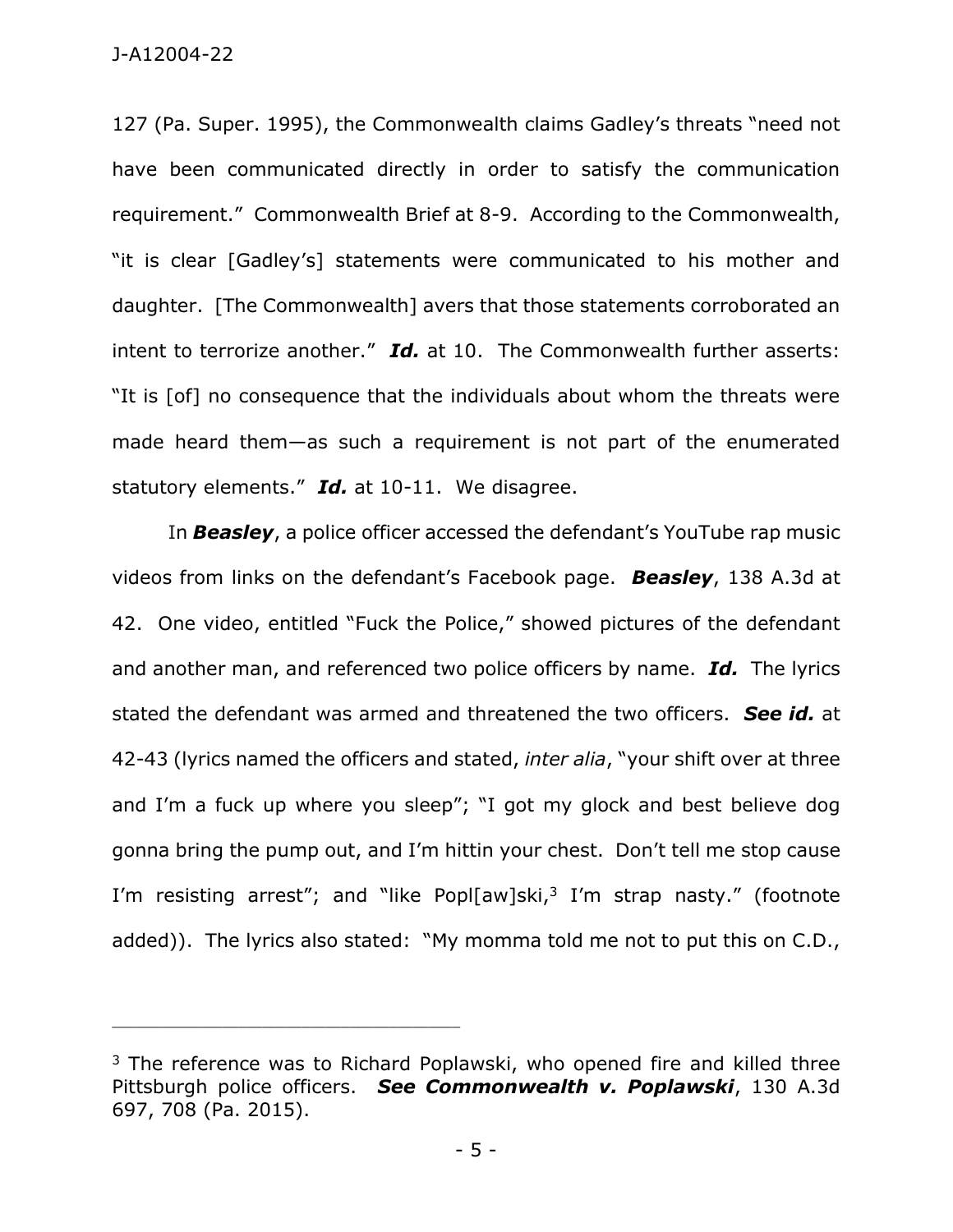127 (Pa. Super. 1995), the Commonwealth claims Gadley's threats "need not have been communicated directly in order to satisfy the communication requirement." Commonwealth Brief at 8-9. According to the Commonwealth, "it is clear [Gadley's] statements were communicated to his mother and daughter. [The Commonwealth] avers that those statements corroborated an intent to terrorize another." *Id.* at 10. The Commonwealth further asserts: "It is [of] no consequence that the individuals about whom the threats were made heard them—as such a requirement is not part of the enumerated statutory elements." *Id.* at 10-11. We disagree.

In *Beasley*, a police officer accessed the defendant's YouTube rap music videos from links on the defendant's Facebook page. *Beasley*, 138 A.3d at 42. One video, entitled "Fuck the Police," showed pictures of the defendant and another man, and referenced two police officers by name. *Id.* The lyrics stated the defendant was armed and threatened the two officers. *See id.* at 42-43 (lyrics named the officers and stated, *inter alia*, "your shift over at three and I'm a fuck up where you sleep"; "I got my glock and best believe dog gonna bring the pump out, and I'm hittin your chest. Don't tell me stop cause I'm resisting arrest"; and "like Popl[aw]ski,<sup>3</sup> I'm strap nasty." (footnote added)). The lyrics also stated: "My momma told me not to put this on C.D.,

\_\_\_\_\_\_\_\_\_\_\_\_\_\_\_\_\_\_\_\_\_\_\_\_\_\_\_\_\_\_\_\_\_\_\_\_\_\_\_\_\_\_\_\_

 $3$  The reference was to Richard Poplawski, who opened fire and killed three Pittsburgh police officers. *See Commonwealth v. Poplawski*, 130 A.3d 697, 708 (Pa. 2015).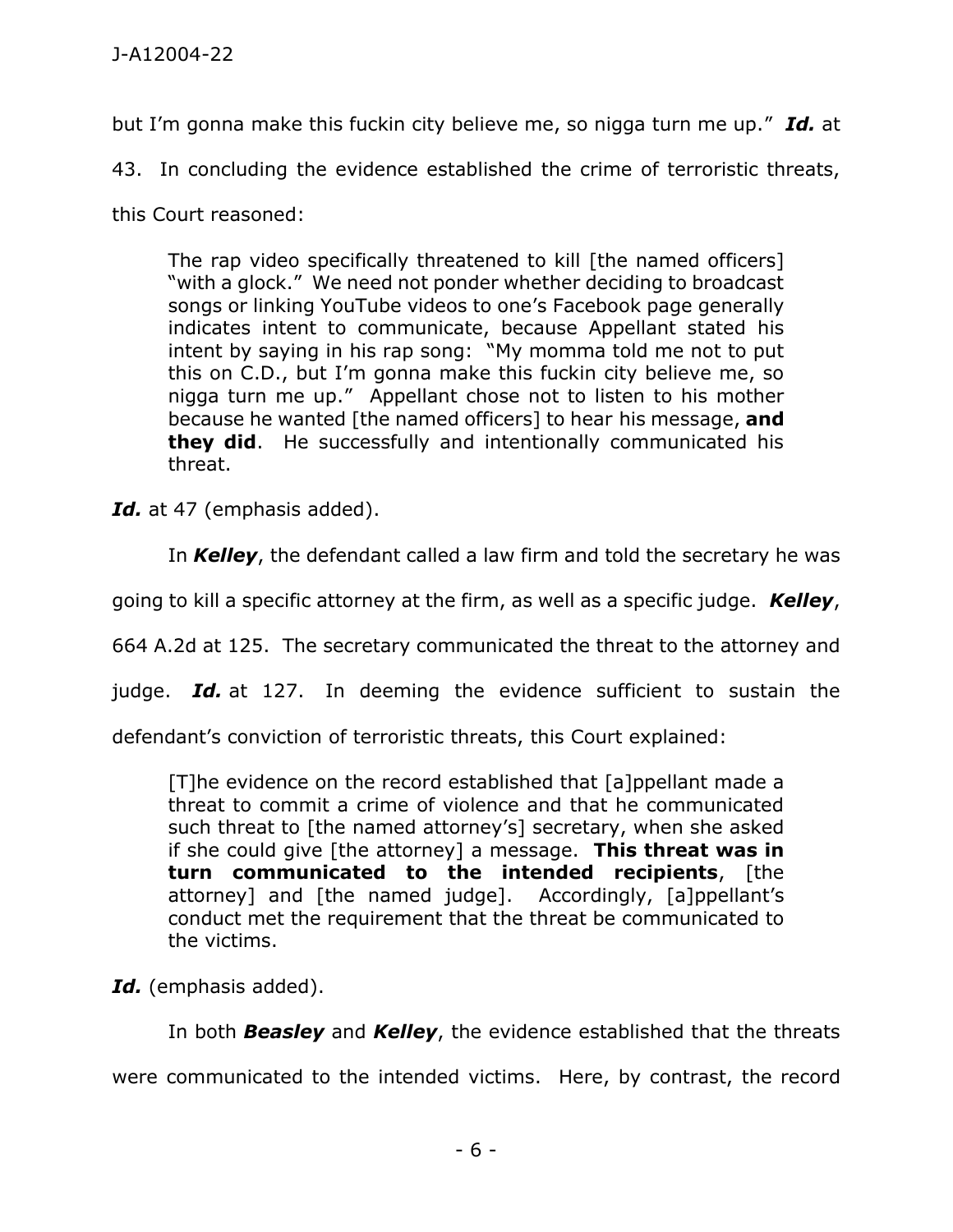but I'm gonna make this fuckin city believe me, so nigga turn me up." *Id.* at

43. In concluding the evidence established the crime of terroristic threats,

this Court reasoned:

The rap video specifically threatened to kill [the named officers] "with a glock." We need not ponder whether deciding to broadcast songs or linking YouTube videos to one's Facebook page generally indicates intent to communicate, because Appellant stated his intent by saying in his rap song: "My momma told me not to put this on C.D., but I'm gonna make this fuckin city believe me, so nigga turn me up." Appellant chose not to listen to his mother because he wanted [the named officers] to hear his message, **and they did**. He successfully and intentionally communicated his threat.

*Id.* at 47 (emphasis added).

In *Kelley*, the defendant called a law firm and told the secretary he was

going to kill a specific attorney at the firm, as well as a specific judge. *Kelley*,

664 A.2d at 125. The secretary communicated the threat to the attorney and

judge. *Id.* at 127. In deeming the evidence sufficient to sustain the

defendant's conviction of terroristic threats, this Court explained:

[T]he evidence on the record established that [a]ppellant made a threat to commit a crime of violence and that he communicated such threat to [the named attorney's] secretary, when she asked if she could give [the attorney] a message. **This threat was in turn communicated to the intended recipients**, [the attorney] and [the named judge]. Accordingly, [a]ppellant's conduct met the requirement that the threat be communicated to the victims.

*Id.* (emphasis added).

In both *Beasley* and *Kelley*, the evidence established that the threats

were communicated to the intended victims. Here, by contrast, the record